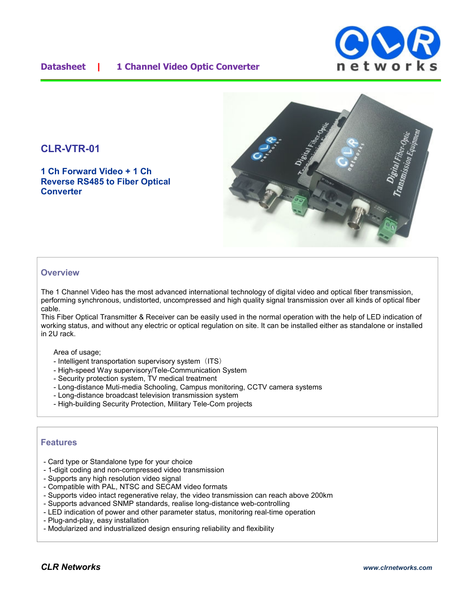## **Datasheet | 1 Channel Video Optic Converter**



# **CLR-VTR-01**

**1 Ch Forward Video + 1 Ch Reverse RS485 to Fiber Optical Converter**



## **Overview**

The 1 Channel Video has the most advanced international technology of digital video and optical fiber transmission, performing synchronous, undistorted, uncompressed and high quality signal transmission over all kinds of optical fiber cable.

This Fiber Optical Transmitter & Receiver can be easily used in the normal operation with the help of LED indication of working status, and without any electric or optical regulation on site. It can be installed either as standalone or installed in 2U rack.

#### Area of usage:

- Intelligent transportation supervisory system (ITS)
- High-speed Way supervisory/Tele-Communication System
- Security protection system, TV medical treatment
- Long-distance Muti-media Schooling, Campus monitoring, CCTV camera systems
- Long-distance broadcast television transmission system
- High-building Security Protection, Military Tele-Com projects

## **Features**

- Card type or Standalone type for your choice
- 1-digit coding and non-compressed video transmission
- Supports any high resolution video signal
- Compatible with PAL, NTSC and SECAM video formats
- Supports video intact regenerative relay, the video transmission can reach above 200km
- Supports advanced SNMP standards, realise long-distance web-controlling
- LED indication of power and other parameter status, monitoring real-time operation
- Plug-and-play, easy installation
- Modularized and industrialized design ensuring reliability and flexibility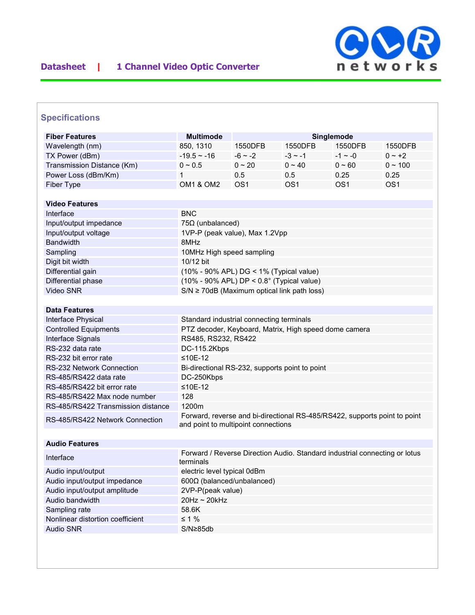

# **Specifications**

| <b>Fiber Features</b>              | <b>Multimode</b>                                                                        | Singlemode      |                 |                 |                 |  |
|------------------------------------|-----------------------------------------------------------------------------------------|-----------------|-----------------|-----------------|-----------------|--|
| Wavelength (nm)                    | 850, 1310                                                                               | 1550DFB         | 1550DFB         | 1550DFB         | 1550DFB         |  |
| TX Power (dBm)                     | $-19.5 - 16$                                                                            | $-6 - 2$        | $-3 \sim -1$    | $-1 \sim -0$    | $0 - +2$        |  |
| Transmission Distance (Km)         | $0 \sim 0.5$                                                                            | $0 \sim 20$     | $0 \sim 40$     | $0 - 60$        | $0 \sim 100$    |  |
| Power Loss (dBm/Km)                | 1                                                                                       | 0.5             | 0.5             | 0.25            | 0.25            |  |
| Fiber Type                         | <b>OM1 &amp; OM2</b>                                                                    | OS <sub>1</sub> | OS <sub>1</sub> | OS <sub>1</sub> | OS <sub>1</sub> |  |
|                                    |                                                                                         |                 |                 |                 |                 |  |
| <b>Video Features</b>              |                                                                                         |                 |                 |                 |                 |  |
| Interface                          | <b>BNC</b>                                                                              |                 |                 |                 |                 |  |
| Input/output impedance             | $75\Omega$ (unbalanced)                                                                 |                 |                 |                 |                 |  |
| Input/output voltage               | 1VP-P (peak value), Max 1.2Vpp                                                          |                 |                 |                 |                 |  |
| <b>Bandwidth</b>                   | 8MHz                                                                                    |                 |                 |                 |                 |  |
| Sampling                           | 10MHz High speed sampling                                                               |                 |                 |                 |                 |  |
| Digit bit width                    | 10/12 bit                                                                               |                 |                 |                 |                 |  |
| Differential gain                  | (10% - 90% APL) DG < 1% (Typical value)                                                 |                 |                 |                 |                 |  |
| Differential phase                 | $(10\% - 90\%$ APL) DP < $0.8^{\circ}$ (Typical value)                                  |                 |                 |                 |                 |  |
| Video SNR                          | $S/N \ge 70$ dB (Maximum optical link path loss)                                        |                 |                 |                 |                 |  |
|                                    |                                                                                         |                 |                 |                 |                 |  |
| <b>Data Features</b>               |                                                                                         |                 |                 |                 |                 |  |
| Interface Physical                 | Standard industrial connecting terminals                                                |                 |                 |                 |                 |  |
| <b>Controlled Equipments</b>       | PTZ decoder, Keyboard, Matrix, High speed dome camera                                   |                 |                 |                 |                 |  |
| Interface Signals                  | RS485, RS232, RS422                                                                     |                 |                 |                 |                 |  |
| RS-232 data rate                   | DC-115.2Kbps                                                                            |                 |                 |                 |                 |  |
| RS-232 bit error rate              | $≤10E-12$                                                                               |                 |                 |                 |                 |  |
| <b>RS-232 Network Connection</b>   | Bi-directional RS-232, supports point to point                                          |                 |                 |                 |                 |  |
| RS-485/RS422 data rate             | DC-250Kbps                                                                              |                 |                 |                 |                 |  |
| RS-485/RS422 bit error rate        | $≤10E-12$                                                                               |                 |                 |                 |                 |  |
| RS-485/RS422 Max node number       | 128                                                                                     |                 |                 |                 |                 |  |
| RS-485/RS422 Transmission distance | 1200m                                                                                   |                 |                 |                 |                 |  |
| RS-485/RS422 Network Connection    | Forward, reverse and bi-directional RS-485/RS422, supports point to point               |                 |                 |                 |                 |  |
|                                    | and point to multipoint connections                                                     |                 |                 |                 |                 |  |
| <b>Audio Features</b>              |                                                                                         |                 |                 |                 |                 |  |
|                                    |                                                                                         |                 |                 |                 |                 |  |
| Interface                          | Forward / Reverse Direction Audio. Standard industrial connecting or lotus<br>terminals |                 |                 |                 |                 |  |
| Audio input/output                 | electric level typical 0dBm                                                             |                 |                 |                 |                 |  |
| Audio input/output impedance       | 600Ω (balanced/unbalanced)                                                              |                 |                 |                 |                 |  |
| Audio input/output amplitude       | 2VP-P(peak value)                                                                       |                 |                 |                 |                 |  |
| Audio bandwidth                    | 20Hz ~ 20kHz                                                                            |                 |                 |                 |                 |  |
| Sampling rate                      | 58.6K                                                                                   |                 |                 |                 |                 |  |
| Nonlinear distortion coefficient   | $\leq 1\%$                                                                              |                 |                 |                 |                 |  |
| <b>Audio SNR</b>                   | S/N≥85db                                                                                |                 |                 |                 |                 |  |
|                                    |                                                                                         |                 |                 |                 |                 |  |